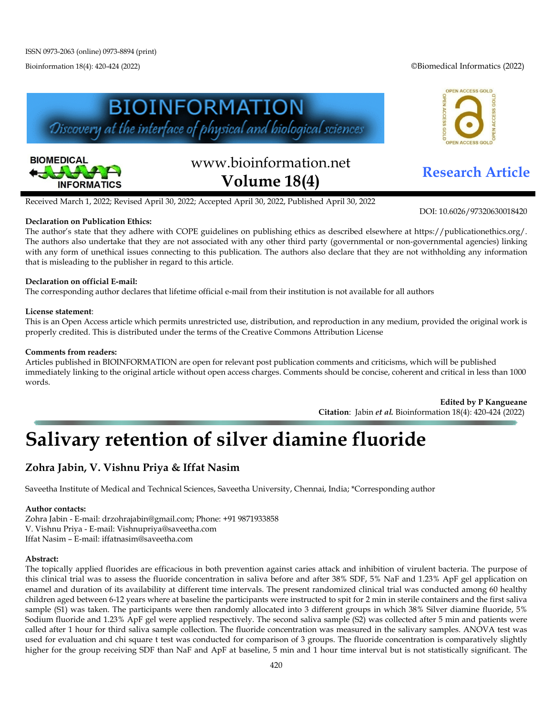Bioinformation 18(4): 420-424 (2022) ©Biomedical Informatics (2022)







# www.bioinformation.net **Research Article Volume 18(4)**

DOI: 10.6026/97320630018420

Received March 1, 2022; Revised April 30, 2022; Accepted April 30, 2022, Published April 30, 2022

#### **Declaration on Publication Ethics:**

The author's state that they adhere with COPE guidelines on publishing ethics as described elsewhere at https://publicationethics.org/. The authors also undertake that they are not associated with any other third party (governmental or non-governmental agencies) linking with any form of unethical issues connecting to this publication. The authors also declare that they are not withholding any information that is misleading to the publisher in regard to this article.

#### **Declaration on official E-mail:**

The corresponding author declares that lifetime official e-mail from their institution is not available for all authors

#### **License statement**:

This is an Open Access article which permits unrestricted use, distribution, and reproduction in any medium, provided the original work is properly credited. This is distributed under the terms of the Creative Commons Attribution License

#### **Comments from readers:**

Articles published in BIOINFORMATION are open for relevant post publication comments and criticisms, which will be published immediately linking to the original article without open access charges. Comments should be concise, coherent and critical in less than 1000 words.

> **Edited by P Kangueane Citation**: Jabin *et al.* Bioinformation 18(4): 420-424 (2022)

## **Salivary retention of silver diamine fluoride**

### **Zohra Jabin, V. Vishnu Priya & Iffat Nasim**

Saveetha Institute of Medical and Technical Sciences, Saveetha University, Chennai, India; \*Corresponding author

#### **Author contacts:**

Zohra Jabin - E-mail: drzohrajabin@gmail.com; Phone: +91 9871933858 V. Vishnu Priya - E-mail: Vishnupriya@saveetha.com Iffat Nasim – E-mail: iffatnasim@saveetha.com

#### **Abstract:**

The topically applied fluorides are efficacious in both prevention against caries attack and inhibition of virulent bacteria. The purpose of this clinical trial was to assess the fluoride concentration in saliva before and after 38% SDF, 5% NaF and 1.23% ApF gel application on enamel and duration of its availability at different time intervals. The present randomized clinical trial was conducted among 60 healthy children aged between 6-12 years where at baseline the participants were instructed to spit for 2 min in sterile containers and the first saliva sample (S1) was taken. The participants were then randomly allocated into 3 different groups in which 38% Silver diamine fluoride, 5% Sodium fluoride and 1.23% ApF gel were applied respectively. The second saliva sample (S2) was collected after 5 min and patients were called after 1 hour for third saliva sample collection. The fluoride concentration was measured in the salivary samples. ANOVA test was used for evaluation and chi square t test was conducted for comparison of 3 groups. The fluoride concentration is comparatively slightly higher for the group receiving SDF than NaF and ApF at baseline, 5 min and 1 hour time interval but is not statistically significant. The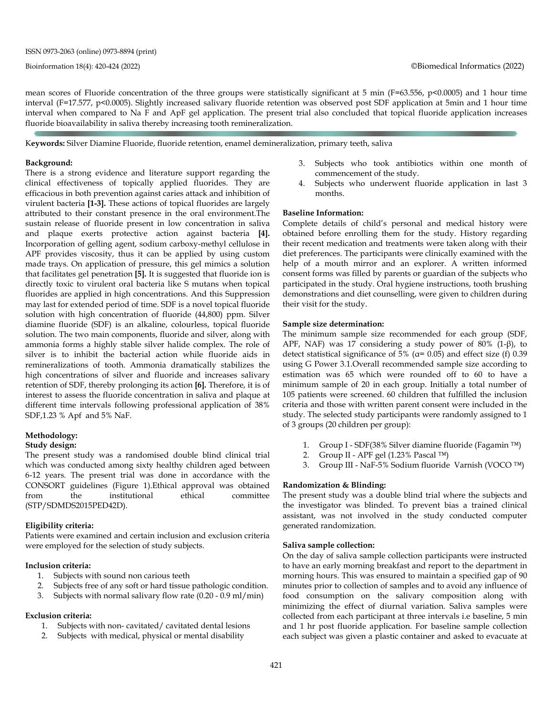mean scores of Fluoride concentration of the three groups were statistically significant at 5 min ( $F=63.556$ ,  $p<0.0005$ ) and 1 hour time interval (F=17.577, p<0.0005). Slightly increased salivary fluoride retention was observed post SDF application at 5min and 1 hour time interval when compared to Na F and ApF gel application. The present trial also concluded that topical fluoride application increases fluoride bioavailability in saliva thereby increasing tooth remineralization.

K**eywords:** Silver Diamine Fluoride, fluoride retention, enamel demineralization, primary teeth, saliva

#### **Background:**

There is a strong evidence and literature support regarding the clinical effectiveness of topically applied fluorides. They are efficacious in both prevention against caries attack and inhibition of virulent bacteria **[1-3].** These actions of topical fluorides are largely attributed to their constant presence in the oral environment.The sustain release of fluoride present in low concentration in saliva and plaque exerts protective action against bacteria **[4].** Incorporation of gelling agent, sodium carboxy-methyl cellulose in APF provides viscosity, thus it can be applied by using custom made trays. On application of pressure, this gel mimics a solution that facilitates gel penetration **[5].** It is suggested that fluoride ion is directly toxic to virulent oral bacteria like S mutans when topical fluorides are applied in high concentrations. And this Suppression may last for extended period of time. SDF is a novel topical fluoride solution with high concentration of fluoride (44,800) ppm. Silver diamine fluoride (SDF) is an alkaline, colourless, topical fluoride solution. The two main components, fluoride and silver, along with ammonia forms a highly stable silver halide complex. The role of silver is to inhibit the bacterial action while fluoride aids in remineralizations of tooth. Ammonia dramatically stabilizes the high concentrations of silver and fluoride and increases salivary retention of SDF, thereby prolonging its action **[6].** Therefore, it is of interest to assess the fluoride concentration in saliva and plaque at different time intervals following professional application of 38% SDF,1.23 % Apf and 5% NaF.

#### **Methodology:**

#### **Study design:**

The present study was a randomised double blind clinical trial which was conducted among sixty healthy children aged between 6-12 years. The present trial was done in accordance with the CONSORT guidelines (Figure 1).Ethical approval was obtained from the institutional ethical committee (STP/SDMDS2015PED42D).

#### **Eligibility criteria:**

Patients were examined and certain inclusion and exclusion criteria were employed for the selection of study subjects.

#### **Inclusion criteria:**

- 1. Subjects with sound non carious teeth<br>2. Subjects free of any soft or hard tissue
- Subjects free of any soft or hard tissue pathologic condition.
- 3. Subjects with normal salivary flow rate (0.20 0.9 ml/min)

#### **Exclusion criteria:**

- 1. Subjects with non- cavitated/ cavitated dental lesions
- 2. Subjects with medical, physical or mental disability
- 3. Subjects who took antibiotics within one month of commencement of the study.
- 4. Subjects who underwent fluoride application in last 3 months.

#### **Baseline Information:**

Complete details of child's personal and medical history were obtained before enrolling them for the study. History regarding their recent medication and treatments were taken along with their diet preferences. The participants were clinically examined with the help of a mouth mirror and an explorer. A written informed consent forms was filled by parents or guardian of the subjects who participated in the study. Oral hygiene instructions, tooth brushing demonstrations and diet counselling, were given to children during their visit for the study.

#### **Sample size determination:**

The minimum sample size recommended for each group (SDF, APF, NAF) was 17 considering a study power of 80%  $(1-\beta)$ , to detect statistical significance of  $5\%$  ( $\alpha$ = 0.05) and effect size (f) 0.39 using G Power 3.1.Overall recommended sample size according to estimation was 65 which were rounded off to 60 to have a minimum sample of 20 in each group. Initially a total number of 105 patients were screened. 60 children that fulfilled the inclusion criteria and those with written parent consent were included in the study. The selected study participants were randomly assigned to 1 of 3 groups (20 children per group):

- 1. Group I SDF(38% Silver diamine fluoride (Fagamin ™)
- 2. Group II APF gel (1.23% Pascal ™)
- 3. Group III NaF-5% Sodium fluoride Varnish (VOCO ™)

#### **Randomization & Blinding:**

The present study was a double blind trial where the subjects and the investigator was blinded. To prevent bias a trained clinical assistant, was not involved in the study conducted computer generated randomization.

#### **Saliva sample collection:**

On the day of saliva sample collection participants were instructed to have an early morning breakfast and report to the department in morning hours. This was ensured to maintain a specified gap of 90 minutes prior to collection of samples and to avoid any influence of food consumption on the salivary composition along with minimizing the effect of diurnal variation. Saliva samples were collected from each participant at three intervals i.e baseline, 5 min and 1 hr post fluoride application. For baseline sample collection each subject was given a plastic container and asked to evacuate at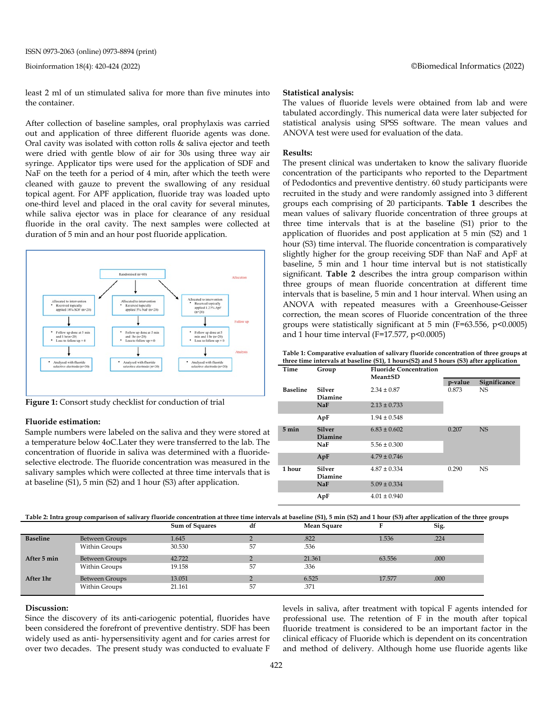ISSN 0973-2063 (online) 0973-8894 (print)

least 2 ml of un stimulated saliva for more than five minutes into the container.

After collection of baseline samples, oral prophylaxis was carried out and application of three different fluoride agents was done. Oral cavity was isolated with cotton rolls & saliva ejector and teeth were dried with gentle blow of air for 30s using three way air syringe. Applicator tips were used for the application of SDF and NaF on the teeth for a period of 4 min, after which the teeth were cleaned with gauze to prevent the swallowing of any residual topical agent. For APF application, fluoride tray was loaded upto one-third level and placed in the oral cavity for several minutes, while saliva ejector was in place for clearance of any residual fluoride in the oral cavity. The next samples were collected at duration of 5 min and an hour post fluoride application.



**Figure 1:** Consort study checklist for conduction of trial

#### **Fluoride estimation:**

Sample numbers were labeled on the saliva and they were stored at a temperature below 4oC.Later they were transferred to the lab. The concentration of fluoride in saliva was determined with a fluorideselective electrode. The fluoride concentration was measured in the salivary samples which were collected at three time intervals that is at baseline (S1), 5 min (S2) and 1 hour (S3) after application.

#### **Statistical analysis:**

The values of fluoride levels were obtained from lab and were tabulated accordingly. This numerical data were later subjected for statistical analysis using SPSS software. The mean values and ANOVA test were used for evaluation of the data.

#### **Results:**

The present clinical was undertaken to know the salivary fluoride concentration of the participants who reported to the Department of Pedodontics and preventive dentistry. 60 study participants were recruited in the study and were randomly assigned into 3 different groups each comprising of 20 participants. **Table 1** describes the mean values of salivary fluoride concentration of three groups at three time intervals that is at the baseline (S1) prior to the application of fluorides and post application at 5 min (S2) and 1 hour (S3) time interval. The fluoride concentration is comparatively slightly higher for the group receiving SDF than NaF and ApF at baseline, 5 min and 1 hour time interval but is not statistically significant. **Table 2** describes the intra group comparison within three groups of mean fluoride concentration at different time intervals that is baseline, 5 min and 1 hour interval. When using an ANOVA with repeated measures with a Greenhouse-Geisser correction, the mean scores of Fluoride concentration of the three groups were statistically significant at 5 min (F=63.556, p<0.0005) and 1 hour time interval ( $F=17.577$ ,  $p<0.0005$ )

**Table 1: Comparative evaluation of salivary fluoride concentration of three groups at three time intervals at baseline (S1), 1 hours(S2) and 5 hours (S3) after application**

| Time            | Group             | <b>Fluoride Concentration</b><br><b>Mean±SD</b> |         |              |  |
|-----------------|-------------------|-------------------------------------------------|---------|--------------|--|
|                 |                   |                                                 | p-value | Significance |  |
| Baseline        | Silver            | $2.34 \pm 0.87$                                 | 0.873   | NS.          |  |
|                 | Diamine           |                                                 |         |              |  |
|                 | <b>NaF</b>        | $2.13 \pm 0.733$                                |         |              |  |
|                 | ApF               | $1.94 \pm 0.548$                                |         |              |  |
| $5 \text{ min}$ | <b>Silver</b>     | $6.83 \pm 0.602$                                | 0.207   | <b>NS</b>    |  |
|                 | Diamine           |                                                 |         |              |  |
|                 | NaF               | $5.56 \pm 0.300$                                |         |              |  |
|                 | ApF               | $4.79 \pm 0.746$                                |         |              |  |
| 1 hour          | Silver<br>Diamine | $4.87 \pm 0.334$                                | 0.290   | <b>NS</b>    |  |
|                 | <b>NaF</b>        | $5.09 \pm 0.334$                                |         |              |  |
|                 | ApF               | $4.01 \pm 0.940$                                |         |              |  |

Table 2: Intra group comparison of salivary fluoride concentration at three time intervals at baseline (S1), 5 min (S2) and 1 hour (S3) after application of the three groups

|                 |                       | <b>Sum of Squares</b> | df | Mean Square |        | Sig. |
|-----------------|-----------------------|-----------------------|----|-------------|--------|------|
| <b>Baseline</b> | <b>Between Groups</b> | 1.645                 | ∠  | .822        | 1.536  | .224 |
|                 | Within Groups         | 30.530                | 57 | .536        |        |      |
| After 5 min     | <b>Between Groups</b> | 42.722                |    | 21.361      | 63.556 | .000 |
|                 | Within Groups         | 19.158                | 57 | .336        |        |      |
| After 1hr       | <b>Between Groups</b> | 13.051                |    | 6.525       | 17.577 | .000 |
|                 | Within Groups         | 21.161                | 57 | .371        |        |      |

#### **Discussion:**

Since the discovery of its anti-cariogenic potential, fluorides have been considered the forefront of preventive dentistry. SDF has been widely used as anti- hypersensitivity agent and for caries arrest for over two decades. The present study was conducted to evaluate F levels in saliva, after treatment with topical F agents intended for professional use. The retention of F in the mouth after topical fluoride treatment is considered to be an important factor in the clinical efficacy of Fluoride which is dependent on its concentration and method of delivery. Although home use fluoride agents like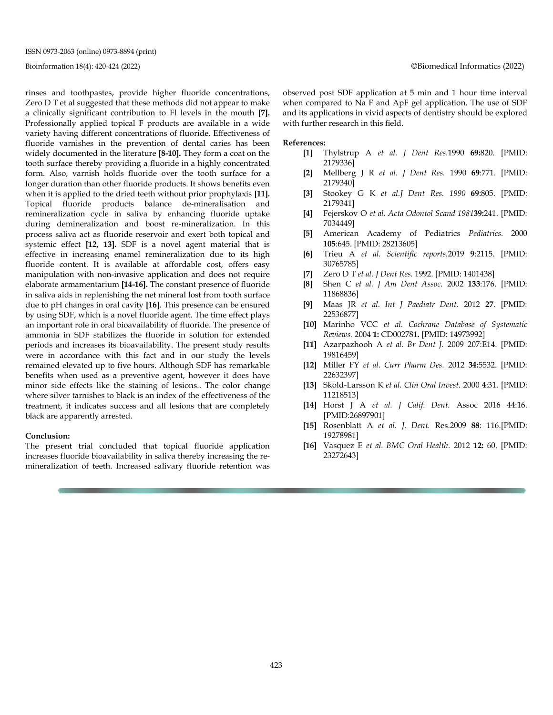ISSN 0973-2063 (online) 0973-8894 (print)

rinses and toothpastes, provide higher fluoride concentrations, Zero D T et al suggested that these methods did not appear to make a clinically significant contribution to Fl levels in the mouth **[7].** Professionally applied topical F products are available in a wide variety having different concentrations of fluoride. Effectiveness of fluoride varnishes in the prevention of dental caries has been widely documented in the literature **[8-10].** They form a coat on the tooth surface thereby providing a fluoride in a highly concentrated form. Also, varnish holds fluoride over the tooth surface for a longer duration than other fluoride products. It shows benefits even when it is applied to the dried teeth without prior prophylaxis **[11].** Topical fluoride products balance de-mineralisation and remineralization cycle in saliva by enhancing fluoride uptake during demineralization and boost re-mineralization. In this process saliva act as fluoride reservoir and exert both topical and systemic effect **[12, 13].** SDF is a novel agent material that is effective in increasing enamel remineralization due to its high fluoride content. It is available at affordable cost, offers easy manipulation with non-invasive application and does not require elaborate armamentarium **[14-16].** The constant presence of fluoride in saliva aids in replenishing the net mineral lost from tooth surface due to pH changes in oral cavity **[16]**. This presence can be ensured by using SDF, which is a novel fluoride agent. The time effect plays an important role in oral bioavailability of fluoride. The presence of ammonia in SDF stabilizes the fluoride in solution for extended periods and increases its bioavailability. The present study results were in accordance with this fact and in our study the levels remained elevated up to five hours. Although SDF has remarkable benefits when used as a preventive agent, however it does have minor side effects like the staining of lesions.. The color change where silver tarnishes to black is an index of the effectiveness of the treatment, it indicates success and all lesions that are completely black are apparently arrested.

#### **Conclusion:**

The present trial concluded that topical fluoride application increases fluoride bioavailability in saliva thereby increasing the remineralization of teeth. Increased salivary fluoride retention was observed post SDF application at 5 min and 1 hour time interval when compared to Na F and ApF gel application. The use of SDF and its applications in vivid aspects of dentistry should be explored with further research in this field.

#### **References:**

- **[1]** Thylstrup A *et al. J Dent Res.*1990 **69:**820. [PMID: 2179336]
- **[2]** Mellberg J R *et al. J Dent Res.* 1990 **69**:771. [PMID: 2179340]
- **[3]** Stookey G K *et al.J Dent Res. 1990* **69**:805. [PMID: 2179341]
- **[4]** Fejerskov O *et al. Acta Odontol Scand 1981***39:**241. [PMID: 7034449]
- **[5]** American Academy of Pediatrics *Pediatrics.* 2000 **105**:645. [PMID: 28213605]
- **[6]** Trieu A *et al. Scientific reports.*2019 **9**:2115. [PMID: 30765785]
- **[7]** Zero D T *et al. J Dent Res.* 1992. [PMID: 1401438]
- **[8]** Shen C *et al. J Am Dent Assoc*. 2002 **133**:176. [PMID: 11868836]
- **[9]** Maas JR *et al. Int J Paediatr Dent.* 2012 **27**. [PMID: 22536877]
- **[10]** Marinho VCC *et al. Cochrane Database of Systematic Reviews.* 2004 **1:** CD002781**.** [PMID: 14973992]
- **[11]** Azarpazhooh A *et al. Br Dent J*. 2009 207:E14. [PMID: 19816459]
- **[12]** Miller FY *et al. Curr Pharm Des.* 2012 **34:**5532. [PMID: 22632397]
- **[13]** Skold-Larsson K *et al. Clin Oral Invest*. 2000 **4**:31. [PMID: 11218513]
- **[14]** Horst J A *et al. J Calif. Dent.* Assoc 2016 44:16. [PMID:26897901]
- **[15]** Rosenblatt A *et al. J. Dent.* Res.2009 **88**: 116.[PMID: 19278981]
- **[16]** Vasquez E *et al. BMC Oral Health*. 2012 **12:** 60. [PMID: 23272643]